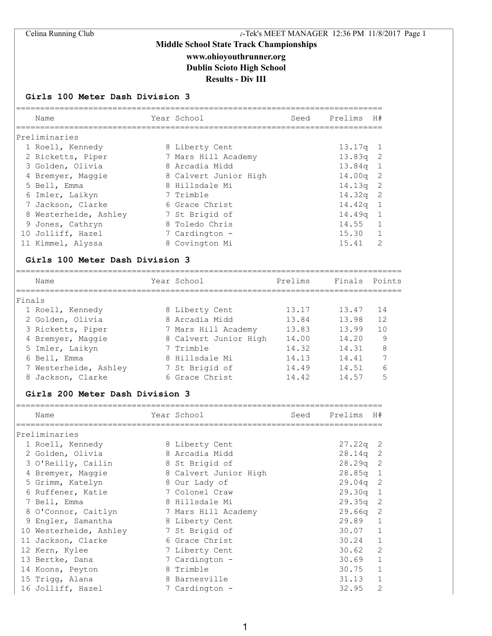# **Middle School State Track Championships www.ohioyouthrunner.org Dublin Scioto High School**

### **Results - Div III**

#### **Girls 100 Meter Dash Division 3**

| Name                  | Year School           | Seed Prelims H# |               |
|-----------------------|-----------------------|-----------------|---------------|
| Preliminaries         |                       |                 |               |
| 1 Roell, Kennedy      | 8 Liberty Cent        | $13.17q$ 1      |               |
| 2 Ricketts, Piper     | 7 Mars Hill Academy   | $13.83q$ 2      |               |
| 3 Golden, Olivia      | 8 Arcadia Midd        | $13.84q$ 1      |               |
| 4 Bremyer, Maggie     | 8 Calvert Junior High | $14.00q$ 2      |               |
| 5 Bell, Emma          | 8 Hillsdale Mi        | $14.13q$ 2      |               |
| 6 Imler, Laikyn       | 7 Trimble             | $14.32q$ 2      |               |
| 7 Jackson, Clarke     | 6 Grace Christ        | $14.42q$ 1      |               |
| 8 Westerheide, Ashley | 7 St Brigid of        | $14.49q$ 1      |               |
| 9 Jones, Cathryn      | 8 Toledo Chris        | 14.55           | $\mathbf{1}$  |
| 10 Jolliff, Hazel     | 7 Cardington -        | 15.30 1         |               |
| 11 Kimmel, Alyssa     | 8 Covington Mi        | 15.41           | $\mathcal{L}$ |

## Name Year School Prelims Finals Points ================================================================================ Finals 1 Roell, Kennedy 8 Liberty Cent 13.17 13.47 14 2 Golden, Olivia 8 Arcadia Midd 13.84 13.98 12 3 Ricketts, Piper 7 Mars Hill Academy 13.83 13.99 10 4 Bremyer, Maggie 8 Calvert Junior High 14.00 14.20 9 5 Imler, Laikyn 7 Trimble 14.32 14.31 8 6 Bell, Emma 8 Hillsdale Mi 14.13 14.41 7 7 Westerheide, Ashley 7 St Brigid of 14.49 14.51 6 8 Jackson, Clarke 6 Grace Christ 14.42 14.57 5

#### **Girls 200 Meter Dash Division 3**

| Name                   | Year School           | Seed | Prelims    | H#             |
|------------------------|-----------------------|------|------------|----------------|
| Preliminaries          |                       |      |            |                |
| 1 Roell, Kennedy       | 8 Liberty Cent        |      | $27.22q$ 2 |                |
| 2 Golden, Olivia       | 8 Arcadia Midd        |      | $28.14q$ 2 |                |
| 3 O'Reilly, Cailin     | 8 St Brigid of        |      | $28.29q$ 2 |                |
| 4 Bremyer, Maggie      | 8 Calvert Junior High |      | $28.85q$ 1 |                |
| 5 Grimm, Katelyn       | 8 Our Lady of         |      | $29.04q$ 2 |                |
| 6 Ruffener, Katie      | 7 Colonel Craw        |      | $29.30q$ 1 |                |
| 7 Bell, Emma           | 8 Hillsdale Mi        |      | $29.35q$ 2 |                |
| 8 O'Connor, Caitlyn    | 7 Mars Hill Academy   |      | 29.66a     | 2              |
| 9 Engler, Samantha     | 8 Liberty Cent        |      | 29.89      | 1              |
| 10 Westerheide, Ashley | 7 St Brigid of        |      | $30.07$ 1  |                |
| 11 Jackson, Clarke     | 6 Grace Christ        |      | 30.24      | 1              |
| 12 Kern, Kylee         | 7 Liberty Cent        |      | 30.62      | $\overline{c}$ |
| 13 Bertke, Dana        | 7 Cardington -        |      | 30.69      | $\mathbf{1}$   |
| 14 Koons, Peyton       | 8 Trimble             |      | 30.75      | $\mathbf{1}$   |
| 15 Trigg, Alana        | 8 Barnesville         |      | 31.13      | $\mathbf 1$    |
| 16 Jolliff, Hazel      | 7 Cardington -        |      | 32.95      | 2              |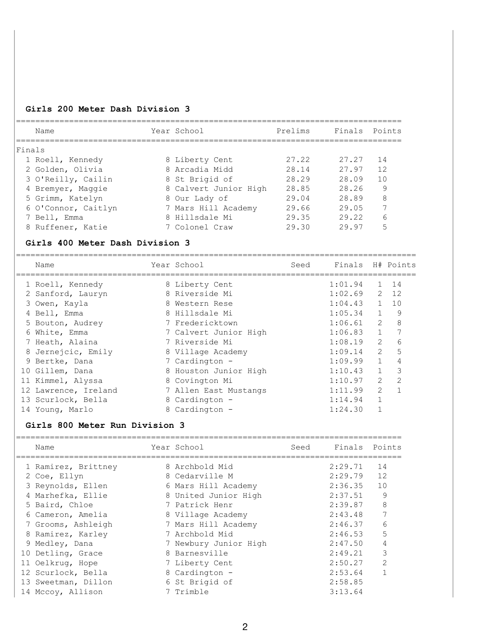## **Girls 200 Meter Dash Division 3**

|        | Name                                                | Year School                 | Prelims | Finals Points    |                       |                |
|--------|-----------------------------------------------------|-----------------------------|---------|------------------|-----------------------|----------------|
| Finals |                                                     |                             |         |                  |                       |                |
|        | 1 Roell, Kennedy                                    | 8 Liberty Cent              | 27.22   | 27.27            | 14                    |                |
|        | 2 Golden, Olivia                                    | 8 Arcadia Midd              | 28.14   | 27.97            | 12                    |                |
|        | 3 O'Reilly, Cailin                                  | 8 St Brigid of              | 28.29   | 28.09            | 10                    |                |
|        | 4 Bremyer, Maggie                                   | 8 Calvert Junior High 28.85 |         | 28.26            | 9                     |                |
|        | 5 Grimm, Katelyn                                    | 8 Our Lady of               | 29.04   | 28.89            | 8                     |                |
|        | 6 O'Connor, Caitlyn 7 Mars Hill Academy 29.66 29.05 |                             |         |                  | 7                     |                |
|        | 7 Bell, Emma                                        | 8 Hillsdale Mi              |         | 29.35 29.22      |                       | 6              |
|        | 8 Ruffener, Katie                                   | 7 Colonel Craw              | 29.30   | 29.97            | 5                     |                |
|        | Girls 400 Meter Dash Division 3                     |                             |         |                  |                       |                |
|        |                                                     |                             |         |                  |                       |                |
|        | Name                                                | Year School                 | Seed    | Finals H# Points |                       |                |
|        | 1 Roell, Kennedy                                    | 8 Liberty Cent              |         | 1:01.94          | $\mathbf{1}$          | 14             |
|        | 2 Sanford, Lauryn                                   | 8 Riverside Mi              |         | 1:02.69          |                       | 2, 12          |
|        | 3 Owen, Kayla                                       | 8 Western Rese              |         | $1:04.43$ 1      |                       | 10             |
|        | 4 Bell, Emma                                        | 8 Hillsdale Mi              |         | $1:05.34$ 1 9    |                       |                |
|        | 5 Bouton, Audrey                                    | 7 Fredericktown             |         | 1:06.61          | $2^{\circ}$           | 8              |
|        | 6 White, Emma                                       | 7 Calvert Junior High       |         | 1:06.83          | 1                     | $\overline{7}$ |
|        | 7 Heath, Alaina                                     | 7 Riverside Mi              |         | 1:08.19          | $\overline{2}$        | 6              |
|        | 8 Jernejcic, Emily                                  | 8 Village Academy           |         | 1:09.14          | $\overline{2}$        | 5              |
|        | 9 Bertke, Dana                                      | 7 Cardington -              |         | 1:09.99          | $\mathbf{1}$          | $\overline{4}$ |
|        | 10 Gillem, Dana                                     | 8 Houston Junior High       |         | 1:10.43          | $\mathbf{1}$          | 3              |
|        | 11 Kimmel, Alyssa                                   | 8 Covington Mi              |         | 1:10.97          | $\mathbf{2}^{\prime}$ | $\overline{2}$ |
|        | 12 Lawrence, Ireland                                | 7 Allen East Mustangs       |         | 1:11.99          | $\overline{2}$        | $\mathbf{1}$   |
|        | 13 Scurlock, Bella                                  | 8 Cardington -              |         | 1:14.94          | $\mathbf{1}$          |                |
|        | 14 Young, Marlo                                     | 8 Cardington -              |         | 1:24.30          | $\mathbf{1}$          |                |
|        | Girls 800 Meter Run Division 3                      |                             |         |                  |                       |                |

| Name |                                                                                                                                                                                                                                                                                              | Seed                                                                                                                                                                                                                                                                                        |         |               |
|------|----------------------------------------------------------------------------------------------------------------------------------------------------------------------------------------------------------------------------------------------------------------------------------------------|---------------------------------------------------------------------------------------------------------------------------------------------------------------------------------------------------------------------------------------------------------------------------------------------|---------|---------------|
|      |                                                                                                                                                                                                                                                                                              |                                                                                                                                                                                                                                                                                             | 2:29.71 | 14            |
|      |                                                                                                                                                                                                                                                                                              |                                                                                                                                                                                                                                                                                             | 2:29.79 | 12            |
|      |                                                                                                                                                                                                                                                                                              |                                                                                                                                                                                                                                                                                             | 2:36.35 | 10            |
|      |                                                                                                                                                                                                                                                                                              |                                                                                                                                                                                                                                                                                             | 2:37.51 | 9             |
|      |                                                                                                                                                                                                                                                                                              |                                                                                                                                                                                                                                                                                             | 2:39.87 | 8             |
|      |                                                                                                                                                                                                                                                                                              |                                                                                                                                                                                                                                                                                             | 2:43.48 | 7             |
|      |                                                                                                                                                                                                                                                                                              |                                                                                                                                                                                                                                                                                             | 2:46.37 | 6             |
|      |                                                                                                                                                                                                                                                                                              |                                                                                                                                                                                                                                                                                             | 2:46.53 | 5             |
|      |                                                                                                                                                                                                                                                                                              |                                                                                                                                                                                                                                                                                             | 2:47.50 | 4             |
|      |                                                                                                                                                                                                                                                                                              |                                                                                                                                                                                                                                                                                             | 2:49.21 | 3             |
|      |                                                                                                                                                                                                                                                                                              |                                                                                                                                                                                                                                                                                             | 2:50.27 | $\mathcal{D}$ |
|      |                                                                                                                                                                                                                                                                                              |                                                                                                                                                                                                                                                                                             | 2:53.64 |               |
|      |                                                                                                                                                                                                                                                                                              |                                                                                                                                                                                                                                                                                             | 2:58.85 |               |
|      |                                                                                                                                                                                                                                                                                              |                                                                                                                                                                                                                                                                                             | 3:13.64 |               |
|      | 1 Ramirez, Brittney<br>2 Coe, Ellyn<br>3 Reynolds, Ellen<br>4 Marhefka, Ellie<br>5 Baird, Chloe<br>6 Cameron, Amelia<br>7 Grooms, Ashleigh<br>8 Ramirez, Karley<br>9 Medley, Dana<br>10 Detling, Grace<br>11 Oelkrug, Hope<br>12 Scurlock, Bella<br>13 Sweetman, Dillon<br>14 Mccoy, Allison | Year School<br>8 Archbold Mid<br>8 Cedarville M<br>6 Mars Hill Academy<br>8 United Junior High<br>7 Patrick Henr<br>8 Village Academy<br>7 Mars Hill Academy<br>7 Archbold Mid<br>7 Newbury Junior High<br>8 Barnesville<br>7 Liberty Cent<br>8 Cardington -<br>6 St Brigid of<br>7 Trimble |         | Finals Points |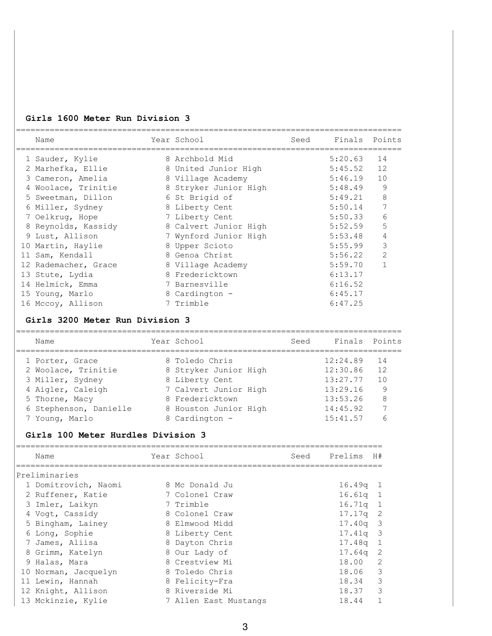### **Girls 1600 Meter Run Division 3**

| Name                 | Year School           | Seed | Finals  | Points         |
|----------------------|-----------------------|------|---------|----------------|
| 1 Sauder, Kylie      | 8 Archbold Mid        |      | 5:20.63 | 14             |
| 2 Marhefka, Ellie    | 8 United Junior High  |      | 5:45.52 | 12             |
| 3 Cameron, Amelia    | 8 Village Academy     |      | 5:46.19 | 10             |
| 4 Woolace, Trinitie  | 8 Stryker Junior High |      | 5:48.49 | 9              |
| 5 Sweetman, Dillon   | 6 St Brigid of        |      | 5:49.21 | 8              |
| 6 Miller, Sydney     | 8 Liberty Cent        |      | 5:50.14 | 7              |
| 7 Oelkrug, Hope      | 7 Liberty Cent        |      | 5:50.33 | 6              |
| 8 Reynolds, Kassidy  | 8 Calvert Junior High |      | 5:52.59 | 5              |
| 9 Lust, Allison      | 7 Wynford Junior High |      | 5:53.48 | 4              |
| 10 Martin, Haylie    | 8 Upper Scioto        |      | 5:55.99 | 3              |
| 11 Sam, Kendall      | 8 Genoa Christ        |      | 5:56.22 | $\overline{2}$ |
| 12 Rademacher, Grace | 8 Village Academy     |      | 5:59.70 |                |
| 13 Stute, Lydia      | 8 Fredericktown       |      | 6:13.17 |                |
| 14 Helmick, Emma     | 7 Barnesville         |      | 6:16.52 |                |
| 15 Young, Marlo      | 8 Cardington -        |      | 6:45.17 |                |
| 16 Mccoy, Allison    | 7 Trimble             |      | 6:47.25 |                |
|                      |                       |      |         |                |

### **Girls 3200 Meter Run Division 3**

| Name                   | Year School           | Seed | Finals Points |                |
|------------------------|-----------------------|------|---------------|----------------|
| 1 Porter, Grace        | 8 Toledo Chris        |      | 12:24.89      | -14            |
| 2 Woolace, Trinitie    | 8 Stryker Junior High |      | 12:30.86      | 12             |
| 3 Miller, Sydney       | 8 Liberty Cent        |      | 13:27.77      | 1 <sub>0</sub> |
| 4 Aigler, Caleigh      | 7 Calvert Junior High |      | 13:29.16      | 9              |
| 5 Thorne, Macy         | 8 Fredericktown       |      | 13:53.26      | 8              |
| 6 Stephenson, Danielle | 8 Houston Junior High |      | 14:45.92      | 7              |
| 7 Young, Marlo         | 8 Cardington -        |      | 15:41.57      | 6              |

### **Girls 100 Meter Hurdles Division 3**

| Name                 | Year School           | Seed | Prelims    | H#             |
|----------------------|-----------------------|------|------------|----------------|
| Preliminaries        |                       |      |            |                |
| 1 Domitrovich, Naomi | 8 Mc Donald Ju        |      | $16.49q$ 1 |                |
| 2 Ruffener, Katie    | 7 Colonel Craw        |      | $16.61q$ 1 |                |
| 3 Imler, Laikyn      | 7 Trimble             |      | $16.71q$ 1 |                |
| 4 Voqt, Cassidy      | 8 Colonel Craw        |      | $17.17q$ 2 |                |
| 5 Bingham, Lainey    | 8 Elmwood Midd        |      | $17.40q$ 3 |                |
| 6 Long, Sophie       | 8 Liberty Cent        |      | $17.41q$ 3 |                |
| 7 James, Aliisa      | 8 Dayton Chris        |      | 17.48g 1   |                |
| 8 Grimm, Katelyn     | 8 Our Lady of         |      | 17.64g     | $\overline{2}$ |
| 9 Halas, Mara        | 8 Crestview Mi        |      | 18.00      | 2              |
| 10 Norman, Jacquelyn | 8 Toledo Chris        |      | 18.06 3    |                |
| 11 Lewin, Hannah     | 8 Felicity-Fra        |      | 18.34      | 3              |
| 12 Knight, Allison   | 8 Riverside Mi        |      | 18.37      | 3              |
| 13 Mckinzie, Kylie   | 7 Allen East Mustangs |      | 18.44      | $\overline{1}$ |
|                      |                       |      |            |                |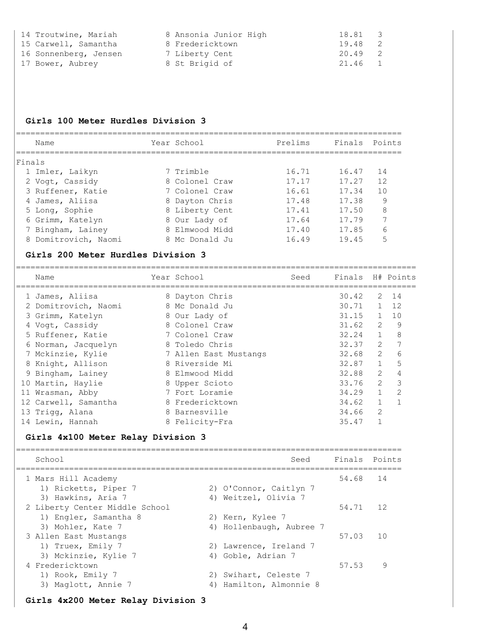| 14 Troutwine, Mariah  | 8 Ansonia Junior High | 18.81 3 |  |
|-----------------------|-----------------------|---------|--|
| 15 Carwell, Samantha  | 8 Fredericktown       | 19.48 2 |  |
| 16 Sonnenberg, Jensen | 7 Liberty Cent        | 20.49 2 |  |
| 17 Bower, Aubrey      | 8 St Brigid of        | 21.46 1 |  |

### **Girls 100 Meter Hurdles Division 3**

| Name                 | Year School    | Prelims | Finals Points |    |
|----------------------|----------------|---------|---------------|----|
| Finals               |                |         |               |    |
| 1 Imler, Laikyn      | 7 Trimble      | 16.71   | 16.47         | 14 |
| 2 Voqt, Cassidy      | 8 Colonel Craw | 17.17   | 17.27         | 12 |
| 3 Ruffener, Katie    | 7 Colonel Craw | 16.61   | 17.34         | 10 |
| 4 James, Aliisa      | 8 Dayton Chris | 17.48   | 17.38         | 9  |
| 5 Long, Sophie       | 8 Liberty Cent | 17.41   | 17.50         | 8  |
| 6 Grimm, Katelyn     | 8 Our Lady of  | 17.64   | 17.79         |    |
| 7 Bingham, Lainey    | 8 Elmwood Midd | 17.40   | 17.85         | 6  |
| 8 Domitrovich, Naomi | 8 Mc Donald Ju | 16.49   | 19.45         | 5  |
|                      |                |         |               |    |

#### **Girls 200 Meter Hurdles Division 3**

=================================================================================== Name Tear School Seed Finals H# Points

| 1 James, Aliisa      | 8 Dayton Chris        | 30.42 | 2              | 14             |
|----------------------|-----------------------|-------|----------------|----------------|
| 2 Domitrovich, Naomi | 8 Mc Donald Ju        | 30.71 | $\mathbf{1}$   | 12             |
| 3 Grimm, Katelyn     | 8 Our Lady of         | 31.15 | $\overline{1}$ | 10             |
| 4 Vogt, Cassidy      | 8 Colonel Craw        | 31.62 | 2              | 9              |
| 5 Ruffener, Katie    | 7 Colonel Craw        | 32.24 | $\mathbf{1}$   | 8              |
| 6 Norman, Jacquelyn  | 8 Toledo Chris        | 32.37 | $\overline{2}$ | 7              |
| 7 Mckinzie, Kylie    | 7 Allen East Mustangs | 32.68 | $\overline{2}$ | 6              |
| 8 Knight, Allison    | 8 Riverside Mi        | 32.87 | $\mathbf{1}$   | 5              |
| 9 Bingham, Lainey    | 8 Elmwood Midd        | 32.88 | $\mathcal{L}$  | $\overline{4}$ |
| 10 Martin, Haylie    | 8 Upper Scioto        | 33.76 | $\mathcal{L}$  | 3              |
| 11 Wrasman, Abby     | 7 Fort Loramie        | 34.29 | $\mathbf{1}$   | $\mathcal{L}$  |
| 12 Carwell, Samantha | 8 Fredericktown       | 34.62 | $\mathbf{1}$   |                |
| 13 Trigg, Alana      | 8 Barnesville         | 34.66 | $\overline{2}$ |                |
| 14 Lewin, Hannah     | 8 Felicity-Fra        | 35.47 |                |                |

## **Girls 4x100 Meter Relay Division 3**

| School                         |    | Seed                     | Finals Points |     |
|--------------------------------|----|--------------------------|---------------|-----|
| 1 Mars Hill Academy            |    |                          | 54.68         | 14  |
| 1) Ricketts, Piper 7           |    | 2) O'Connor, Caitlyn 7   |               |     |
| 3) Hawkins, Aria 7             | 4) | Weitzel, Olivia 7        |               |     |
| 2 Liberty Center Middle School |    |                          | 54.71         | 12  |
| 1) Engler, Samantha 8          |    | 2) Kern, Kylee 7         |               |     |
| 3) Mohler, Kate 7              |    | 4) Hollenbaugh, Aubree 7 |               |     |
| 3 Allen East Mustangs          |    |                          | 57.03         | 1 O |
| 1) Truex, Emily 7              |    | 2) Lawrence, Ireland 7   |               |     |
| 3) Mckinzie, Kylie 7           | 4) | Goble, Adrian 7          |               |     |
| 4 Fredericktown                |    |                          | 57.53         | 9   |
| 1) Rook, Emily 7               |    | 2) Swihart, Celeste 7    |               |     |
| 3) Maglott, Annie 7            | 4) | Hamilton, Almonnie 8     |               |     |

#### **Girls 4x200 Meter Relay Division 3**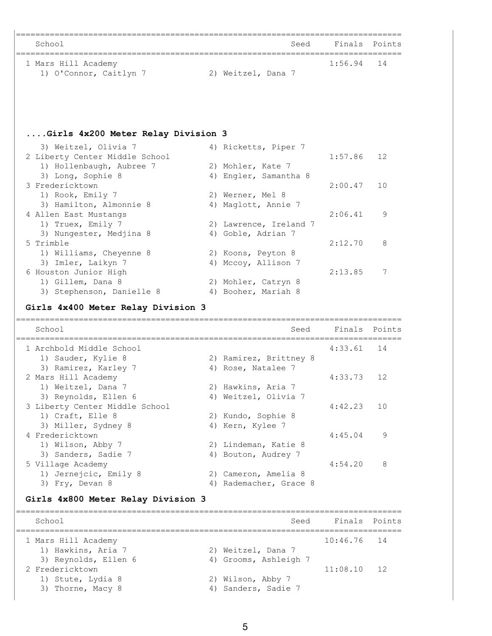| School                                                                                          | Seed                                         | Finals Points |        |
|-------------------------------------------------------------------------------------------------|----------------------------------------------|---------------|--------|
| 1 Mars Hill Academy                                                                             |                                              | 1:56.94       | 14     |
| 1) O'Connor, Caitlyn 7                                                                          | 2) Weitzel, Dana 7                           |               |        |
|                                                                                                 |                                              |               |        |
| Girls 4x200 Meter Relay Division 3                                                              |                                              |               |        |
| 3) Weitzel, Olivia 7                                                                            | 4) Ricketts, Piper 7                         |               |        |
| 2 Liberty Center Middle School                                                                  |                                              | 1:57.86       | 12     |
| 1) Hollenbaugh, Aubree 7                                                                        | 2) Mohler, Kate 7                            |               |        |
| 3) Long, Sophie 8                                                                               | 4) Engler, Samantha 8                        |               |        |
| 3 Fredericktown                                                                                 |                                              | 2:00.47       | 10     |
| 1) Rook, Emily 7<br>3) Hamilton, Almonnie 8                                                     | 2) Werner, Mel 8<br>4) Maglott, Annie 7      |               |        |
| 4 Allen East Mustangs                                                                           |                                              | 2:06.41       | 9      |
| 1) Truex, Emily 7                                                                               | 2) Lawrence, Ireland 7                       |               |        |
| 3) Nungester, Medjina 8                                                                         | 4) Goble, Adrian 7                           |               |        |
| 5 Trimble                                                                                       |                                              | 2:12.70       | 8      |
| 1) Williams, Cheyenne 8                                                                         | 2) Koons, Peyton 8                           |               |        |
| 3) Imler, Laikyn 7                                                                              | 4) Mccoy, Allison 7                          |               |        |
| 6 Houston Junior High                                                                           |                                              | 2:13.85       | 7      |
| 1) Gillem, Dana 8                                                                               | 2) Mohler, Catryn 8<br>4) Booher, Mariah 8   |               |        |
| 3) Stephenson, Danielle 8<br>Girls 4x400 Meter Relay Division 3                                 |                                              |               |        |
| School                                                                                          | Seed                                         | Finals        | Points |
|                                                                                                 | -==============================              |               |        |
| 1 Archbold Middle School                                                                        |                                              | 4:33.61       | 14     |
| 1) Sauder, Kylie 8<br>3) Ramirez, Karley 7                                                      | 2) Ramirez, Brittney 8<br>4) Rose, Natalee 7 |               |        |
| 2 Mars Hill Academy                                                                             |                                              |               |        |
|                                                                                                 |                                              |               |        |
|                                                                                                 |                                              | 4:33.73       | 12     |
| 1) Weitzel, Dana 7                                                                              | 2) Hawkins, Aria 7<br>4) Weitzel, Olivia 7   |               |        |
| 3) Reynolds, Ellen 6                                                                            |                                              | 4:42.23       | 10     |
| 1) Craft, Elle 8                                                                                | 2) Kundo, Sophie 8                           |               |        |
| 3) Miller, Sydney 8                                                                             | 4) Kern, Kylee 7                             |               |        |
|                                                                                                 |                                              | 4:45.04       | 9      |
| 1) Wilson, Abby 7                                                                               | 2) Lindeman, Katie 8                         |               |        |
| 3) Sanders, Sadie 7                                                                             | 4) Bouton, Audrey 7                          |               |        |
|                                                                                                 |                                              | 4:54.20       | 8      |
| 1) Jernejcic, Emily 8                                                                           | 2) Cameron, Amelia 8                         |               |        |
| 3) Fry, Devan 8                                                                                 | 4) Rademacher, Grace 8                       |               |        |
|                                                                                                 |                                              |               |        |
| School                                                                                          | Seed                                         | Finals        |        |
| 3 Liberty Center Middle School<br>4 Fredericktown<br>5 Village Academy<br>1 Mars Hill Academy   |                                              | 10:46.76      | 14     |
| 1) Hawkins, Aria 7                                                                              | 2) Weitzel, Dana 7                           |               |        |
| 3) Reynolds, Ellen 6                                                                            | 4) Grooms, Ashleigh 7                        |               |        |
|                                                                                                 |                                              | 11:08.10      | 12     |
| Girls 4x800 Meter Relay Division 3<br>2 Fredericktown<br>1) Stute, Lydia 8<br>3) Thorne, Macy 8 | 2) Wilson, Abby 7<br>4) Sanders, Sadie 7     |               | Points |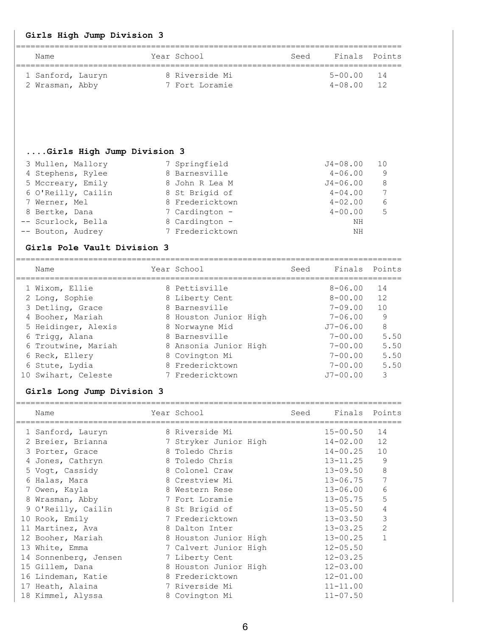| Name                                     |             | Year School                             | Seed | Finals                       | Points            |
|------------------------------------------|-------------|-----------------------------------------|------|------------------------------|-------------------|
| 1 Sanford, Lauryn                        |             | 8 Riverside Mi                          |      | $5 - 00.00$                  | 14                |
| 2 Wrasman, Abby                          |             | 7 Fort Loramie                          |      | $4 - 08.00$                  | 12                |
|                                          |             |                                         |      |                              |                   |
| Girls High Jump Division 3               |             |                                         |      |                              |                   |
| 3 Mullen, Mallory                        |             | 7 Springfield                           |      | J4-08.00                     | 10                |
| 4 Stephens, Rylee                        |             | 8 Barnesville                           |      | $4 - 06.00$                  | 9                 |
| 5 Mccreary, Emily                        |             | 8 John R Lea M                          |      | J4-06.00                     | 8                 |
| 6 O'Reilly, Cailin                       |             | 8 St Brigid of                          |      | $4 - 04.00$                  | 7                 |
| 7 Werner, Mel                            |             | 8 Fredericktown                         |      | $4 - 02.00$                  | 6                 |
| 8 Bertke, Dana                           |             | 7 Cardington -                          |      | $4 - 00.00$                  | 5                 |
| -- Scurlock, Bella                       |             | 8 Cardington -                          |      | ΝH                           |                   |
| -- Bouton, Audrey                        |             | 7 Fredericktown                         |      | ΝH                           |                   |
| Girls Pole Vault Division 3              |             |                                         |      |                              |                   |
| Name                                     |             | Year School                             | Seed | Finals                       | Points            |
| 1 Wixom, Ellie                           |             | 8 Pettisville                           |      | $8 - 06.00$                  | 14                |
| 2 Long, Sophie                           |             | 8 Liberty Cent                          |      | $8 - 00.00$                  | 12                |
| 3 Detling, Grace                         |             | 8 Barnesville                           |      | $7 - 09.00$                  | 10                |
| 4 Booher, Mariah                         |             | 8 Houston Junior High                   |      | $7 - 06.00$                  | 9                 |
| 5 Heidinger, Alexis                      |             | 8 Norwayne Mid                          |      | $J7 - 06.00$                 | 8                 |
| 6 Trigg, Alana                           |             | 8 Barnesville                           |      | 7-00.00                      | 5.50              |
| 6 Troutwine, Mariah                      |             | 8 Ansonia Junior High                   |      | 7-00.00                      | 5.50              |
| 6 Reck, Ellery                           |             | 8 Covington Mi                          |      | $7 - 00.00$                  | 5.50              |
| 6 Stute, Lydia                           |             | 8 Fredericktown                         |      | $7 - 00.00$                  | 5.50              |
| 10 Swihart, Celeste                      |             | 7 Fredericktown                         |      | $J7 - 00.00$                 | 3                 |
| Girls Long Jump Division 3               |             |                                         |      |                              |                   |
| Name                                     | ----------- | Year School<br>-----------------        | Seed | Finals                       | Points            |
| 1 Sanford, Lauryn                        |             | 8 Riverside Mi                          |      | $15 - 00.50$                 | 14                |
| 2 Breier, Brianna                        |             | 7 Stryker Junior High                   |      | $14 - 02.00$                 | 12                |
| 3 Porter, Grace                          |             | 8 Toledo Chris                          |      | $14 - 00.25$                 | 10                |
| Jones, Cathryn                           |             | 8 Toledo Chris                          |      | $13 - 11.25$                 | 9                 |
| 5 Vogt, Cassidy                          |             | 8 Colonel Craw                          |      | $13 - 09.50$                 | 8                 |
| 6 Halas, Mara                            |             | 8 Crestview Mi                          |      | $13 - 06.75$                 | 7                 |
| 7 Owen, Kayla                            |             | 8 Western Rese                          |      | $13 - 06.00$                 | 6                 |
| 8 Wrasman, Abby                          |             | 7 Fort Loramie                          |      | $13 - 05.75$                 | 5                 |
| O'Reilly, Cailin<br>9                    |             | 8 St Brigid of                          |      | $13 - 05.50$                 | 4                 |
| 10 Rook, Emily                           |             | 7 Fredericktown                         |      | $13 - 03.50$                 | 3                 |
| 11 Martinez, Ava                         |             | 8 Dalton Inter                          |      | $13 - 03.25$                 | 2<br>$\mathbf{1}$ |
| 12 Booher, Mariah                        |             | 8 Houston Junior High                   |      | $13 - 00.25$                 |                   |
| 13 White, Emma                           |             | 7 Calvert Junior High                   |      | $12 - 05.50$<br>$12 - 03.25$ |                   |
| 14 Sonnenberg, Jensen<br>15 Gillem, Dana |             | 7 Liberty Cent<br>8 Houston Junior High |      | $12 - 03.00$                 |                   |
| 16 Lindeman, Katie                       |             | 8 Fredericktown                         |      | $12 - 01.00$                 |                   |
| 17 Heath, Alaina                         |             | 7 Riverside Mi                          |      | $11 - 11.00$                 |                   |
|                                          |             |                                         |      |                              |                   |
| 18 Kimmel, Alyssa                        |             | 8 Covington Mi                          |      | $11 - 07.50$                 |                   |

6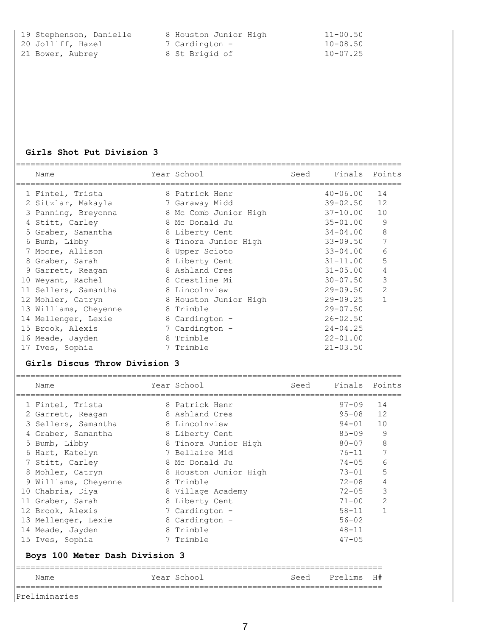| 19 Stephenson, Danielle | 8 Houston Junior High | $11 - 00.50$ |
|-------------------------|-----------------------|--------------|
| 20 Jolliff, Hazel       | 7 Cardington -        | $10 - 08.50$ |
| 21 Bower, Aubrey        | 8 St Brigid of        | $10 - 07.25$ |

## **Girls Shot Put Division 3**

|    | Name                  | Year School           | Seed | Finals Points |    |
|----|-----------------------|-----------------------|------|---------------|----|
|    | 1 Fintel, Trista      | 8 Patrick Henr        |      | $40 - 06.00$  | 14 |
|    | 2 Sitzlar, Makayla    | 7 Garaway Midd        |      | $39 - 02.50$  | 12 |
|    | 3 Panning, Breyonna   | 8 Mc Comb Junior High |      | $37 - 10.00$  | 10 |
|    | 4 Stitt, Carley       | 8 Mc Donald Ju        |      | $35 - 01.00$  | 9  |
|    | 5 Graber, Samantha    | 8 Liberty Cent        |      | $34 - 04.00$  | 8  |
|    | 6 Bumb, Libby         | 8 Tinora Junior High  |      | $33 - 09.50$  | 7  |
|    | 7 Moore, Allison      | 8 Upper Scioto        |      | $33 - 04.00$  | 6  |
|    | 8 Graber, Sarah       | 8 Liberty Cent        |      | $31 - 11.00$  | 5  |
|    | 9 Garrett, Reagan     | 8 Ashland Cres        |      | $31 - 05.00$  | 4  |
| 10 | Weyant, Rachel        | 8 Crestline Mi        |      | $30 - 07.50$  | 3  |
|    | 11 Sellers, Samantha  | 8 Lincolnview         |      | $29 - 09.50$  | 2  |
|    | 12 Mohler, Catryn     | 8 Houston Junior High |      | $29 - 09.25$  |    |
|    | 13 Williams, Cheyenne | 8 Trimble             |      | $29 - 07.50$  |    |
|    | 14 Mellenger, Lexie   | 8 Cardington -        |      | $26 - 02.50$  |    |
|    | 15 Brook, Alexis      | 7 Cardington -        |      | $24 - 04.25$  |    |
|    | 16 Meade, Jayden      | 8 Trimble             |      | $22 - 01.00$  |    |
|    | 17 Ives, Sophia       | 7 Trimble             |      | $21 - 03.50$  |    |

## **Girls Discus Throw Division 3**

| Name               |                                                                                                                                                                                                                                                                                              | Seed                                                                                                                                                                                                                                                                                                                                       | Finals Points |    |
|--------------------|----------------------------------------------------------------------------------------------------------------------------------------------------------------------------------------------------------------------------------------------------------------------------------------------|--------------------------------------------------------------------------------------------------------------------------------------------------------------------------------------------------------------------------------------------------------------------------------------------------------------------------------------------|---------------|----|
|                    |                                                                                                                                                                                                                                                                                              |                                                                                                                                                                                                                                                                                                                                            | $97 - 09$     | 14 |
|                    |                                                                                                                                                                                                                                                                                              |                                                                                                                                                                                                                                                                                                                                            | $95 - 08$     | 12 |
|                    |                                                                                                                                                                                                                                                                                              |                                                                                                                                                                                                                                                                                                                                            | $94 - 01$     | 10 |
|                    |                                                                                                                                                                                                                                                                                              |                                                                                                                                                                                                                                                                                                                                            | $85 - 09$     | 9  |
|                    |                                                                                                                                                                                                                                                                                              |                                                                                                                                                                                                                                                                                                                                            | $80 - 07$     | 8  |
|                    |                                                                                                                                                                                                                                                                                              |                                                                                                                                                                                                                                                                                                                                            | $76 - 11$     |    |
|                    |                                                                                                                                                                                                                                                                                              |                                                                                                                                                                                                                                                                                                                                            | $74 - 05$     | 6  |
|                    |                                                                                                                                                                                                                                                                                              |                                                                                                                                                                                                                                                                                                                                            | $73 - 01$     | 5  |
| Williams, Cheyenne |                                                                                                                                                                                                                                                                                              |                                                                                                                                                                                                                                                                                                                                            | $72 - 08$     | 4  |
|                    |                                                                                                                                                                                                                                                                                              |                                                                                                                                                                                                                                                                                                                                            | $72 - 05$     | 3  |
|                    |                                                                                                                                                                                                                                                                                              |                                                                                                                                                                                                                                                                                                                                            | $71 - 00$     | 2  |
|                    |                                                                                                                                                                                                                                                                                              |                                                                                                                                                                                                                                                                                                                                            | $58 - 11$     |    |
|                    |                                                                                                                                                                                                                                                                                              |                                                                                                                                                                                                                                                                                                                                            | $56 - 02$     |    |
|                    |                                                                                                                                                                                                                                                                                              |                                                                                                                                                                                                                                                                                                                                            | $48 - 11$     |    |
|                    |                                                                                                                                                                                                                                                                                              |                                                                                                                                                                                                                                                                                                                                            | $47 - 05$     |    |
|                    |                                                                                                                                                                                                                                                                                              |                                                                                                                                                                                                                                                                                                                                            |               |    |
| Name               |                                                                                                                                                                                                                                                                                              | Seed                                                                                                                                                                                                                                                                                                                                       | Prelims       | H# |
|                    | 1 Fintel, Trista<br>2 Garrett, Reagan<br>3 Sellers, Samantha<br>4 Graber, Samantha<br>5 Bumb, Libby<br>6 Hart, Katelyn<br>7 Stitt, Carley<br>8 Mohler, Catryn<br>9<br>10 Chabria, Diya<br>11 Graber, Sarah<br>12 Brook, Alexis<br>13 Mellenger, Lexie<br>14 Meade, Jayden<br>15 Ives, Sophia | Year School<br>8 Patrick Henr<br>8 Ashland Cres<br>8 Lincolnview<br>8 Liberty Cent<br>8 Tinora Junior High<br>7 Bellaire Mid<br>8 Mc Donald Ju<br>8 Houston Junior High<br>8 Trimble<br>8 Village Academy<br>8 Liberty Cent<br>7 Cardington -<br>8 Cardington -<br>8 Trimble<br>7 Trimble<br>Boys 100 Meter Dash Division 3<br>Year School |               |    |

Preliminaries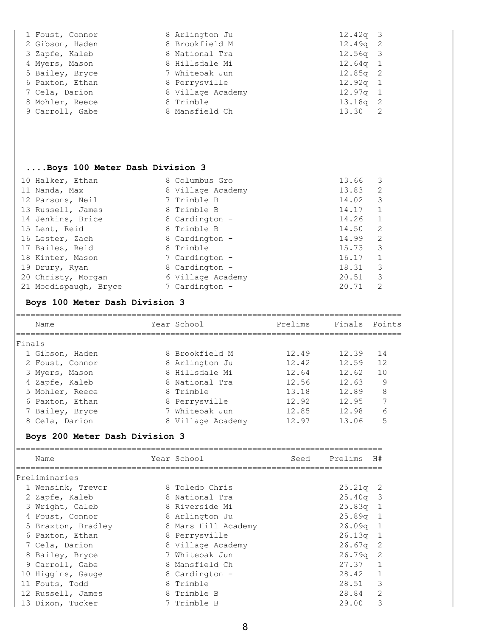| 1 Foust, Connor | 8 Arlington Ju    | $12.42q$ 3 |  |
|-----------------|-------------------|------------|--|
| 2 Gibson, Haden | 8 Brookfield M    | $12.49q$ 2 |  |
| 3 Zapfe, Kaleb  | 8 National Tra    | $12.56q$ 3 |  |
| 4 Myers, Mason  | 8 Hillsdale Mi    | $12.64q$ 1 |  |
| 5 Bailey, Bryce | 7 Whiteoak Jun    | $12.85q$ 2 |  |
| 6 Paxton, Ethan | 8 Perrysville     | $12.92q$ 1 |  |
| 7 Cela, Darion  | 8 Village Academy | $12.97q$ 1 |  |
| 8 Mohler, Reece | 8 Trimble         | $13.18q$ 2 |  |
| 9 Carroll, Gabe | 8 Mansfield Ch    | 13.30 2    |  |
|                 |                   |            |  |

## **....Boys 100 Meter Dash Division 3**

| 10 Halker, Ethan      | 8 Columbus Gro    | 13.66 | 3             |
|-----------------------|-------------------|-------|---------------|
| 11 Nanda, Max         | 8 Village Academy | 13.83 | 2             |
| 12 Parsons, Neil      | 7 Trimble B       | 14.02 | 3             |
| 13 Russell, James     | 8 Trimble B       | 14.17 |               |
| 14 Jenkins, Brice     | 8 Cardington -    | 14.26 |               |
| 15 Lent, Reid         | 8 Trimble B       | 14.50 | 2             |
| 16 Lester, Zach       | 8 Cardington -    | 14.99 | 2             |
| 17 Bailes, Reid       | 8 Trimble         | 15.73 | 3             |
| 18 Kinter, Mason      | 7 Cardington -    | 16.17 |               |
| 19 Drury, Ryan        | 8 Cardington -    | 18.31 | 3             |
| 20 Christy, Morgan    | 6 Village Academy | 20.51 | 3             |
| 21 Moodispaugh, Bryce | 7 Cardington -    | 20.71 | $\mathcal{L}$ |

# **Boys 100 Meter Dash Division 3**

| Name            | Year School       | Prelims | Finals Points |                |
|-----------------|-------------------|---------|---------------|----------------|
| Finals          |                   |         |               |                |
| 1 Gibson, Haden | 8 Brookfield M    | 12.49   | 12.39         | 14             |
| 2 Foust, Connor | 8 Arlington Ju    | 12.42   | 12.59         | 12             |
| 3 Myers, Mason  | 8 Hillsdale Mi    | 12.64   | 12.62         | 10             |
| 4 Zapfe, Kaleb  | 8 National Tra    | 12.56   | 12.63         | 9              |
| 5 Mohler, Reece | 8 Trimble         | 13.18   | 12.89         | 8              |
| 6 Paxton, Ethan | 8 Perrysville     | 12.92   | 12.95         | $\overline{ }$ |
| 7 Bailey, Bryce | 7 Whiteoak Jun    | 12.85   | 12.98         | 6              |
| 8 Cela, Darion  | 8 Village Academy | 12.97   | 13.06         | 5              |
|                 |                   |         |               |                |

# **Boys 200 Meter Dash Division 3**

| Name               |  | Year School         | Seed | Prelims    | H#                       |
|--------------------|--|---------------------|------|------------|--------------------------|
| Preliminaries      |  |                     |      |            |                          |
| 1 Wensink, Trevor  |  | 8 Toledo Chris      |      | $25.21q$ 2 |                          |
| 2 Zapfe, Kaleb     |  | 8 National Tra      |      | $25.40q$ 3 |                          |
| 3 Wright, Caleb    |  | 8 Riverside Mi      |      | $25.83q$ 1 |                          |
| 4 Foust, Connor    |  | 8 Arlington Ju      |      | $25.89q$ 1 |                          |
| 5 Braxton, Bradley |  | 8 Mars Hill Academy |      | $26.09q$ 1 |                          |
| 6 Paxton, Ethan    |  | 8 Perrysville       |      | $26.13q$ 1 |                          |
| 7 Cela, Darion     |  | 8 Village Academy   |      | 26.67q     | $\overline{2}$           |
| 8 Bailey, Bryce    |  | 7 Whiteoak Jun      |      | $26.79q$ 2 |                          |
| 9 Carroll, Gabe    |  | 8 Mansfield Ch      |      | 27.37 1    |                          |
| 10 Higgins, Gauge  |  | 8 Cardington -      |      | 28.42 1    |                          |
| 11 Fouts, Todd     |  | 8 Trimble           |      | 28.51      | $\overline{\phantom{a}}$ |
| 12 Russell, James  |  | 8 Trimble B         |      | 28.84      | 2                        |
| 13 Dixon, Tucker   |  | 7 Trimble B         |      | 29.00      | 3                        |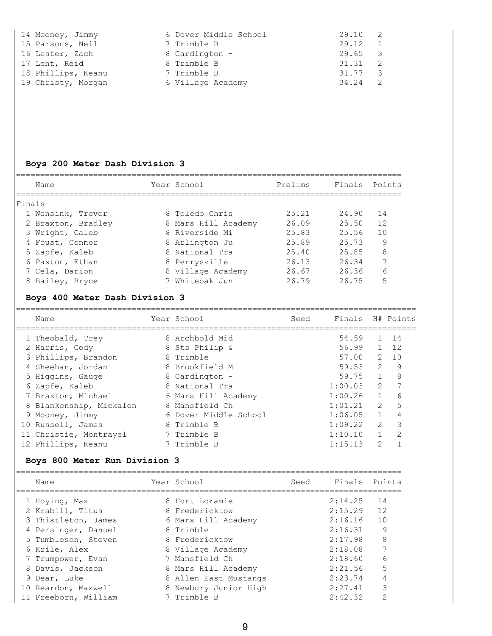| 14 Mooney, Jimmy   | 6 Dover Middle School | 29.10   |
|--------------------|-----------------------|---------|
| 15 Parsons, Neil   | 7 Trimble B           | 29.12   |
| 16 Lester, Zach    | 8 Cardington -        | 29.65 3 |
| 17 Lent, Reid      | 8 Trimble B           | 31.31   |
| 18 Phillips, Keanu | 7 Trimble B           | 31.77 3 |
| 19 Christy, Morgan | 6 Village Academy     | 34.24   |

## **Boys 200 Meter Dash Division 3**

| Name               | Year School         | Prelims | Finals Points |    |
|--------------------|---------------------|---------|---------------|----|
|                    |                     |         |               |    |
| <b>Finals</b>      |                     |         |               |    |
| 1 Wensink, Trevor  | 8 Toledo Chris      | 25.21   | 24.90         | 14 |
| 2 Braxton, Bradley | 8 Mars Hill Academy | 26.09   | 25.50         | 12 |
| 3 Wright, Caleb    | 8 Riverside Mi      | 25.83   | 25.56         | 10 |
| 4 Foust, Connor    | 8 Arlington Ju      | 25.89   | 25.73         | 9  |
| 5 Zapfe, Kaleb     | 8 National Tra      | 25.40   | 25.85         | 8  |
| 6 Paxton, Ethan    | 8 Perrysville       | 26.13   | 26.34         | 7  |
| 7 Cela, Darion     | 8 Village Academy   | 26.67   | 26.36         | 6  |
| 8 Bailey, Bryce    | 7 Whiteoak Jun      | 26.79   | 26.75         | 5  |

# **Boys 400 Meter Dash Division 3**

| Name                    | Year School           | Seed | Finals  |                | H# Points     |
|-------------------------|-----------------------|------|---------|----------------|---------------|
| 1 Theobald, Trey        | 8 Archbold Mid        |      | 54.59   |                | - 14          |
| 2 Harris, Cody          | 8 Sts Philip &        |      | 56.99   | $\mathbf{1}$   | 12            |
| 3 Phillips, Brandon     | 8 Trimble             |      | 57.00   | $\mathcal{L}$  | 1 O           |
| 4 Sheehan, Jordan       | 8 Brookfield M        |      | 59.53   | $\mathcal{L}$  | 9             |
| 5 Higgins, Gauge        | 8 Cardington -        |      | 59.75   | $\mathbf{1}$   | 8             |
| 6 Zapfe, Kaleb          | 8 National Tra        |      | 1:00.03 | $\overline{2}$ |               |
| 7 Braxton, Michael      | 6 Mars Hill Academy   |      | 1:00.26 | $\mathbf{1}$   | 6             |
| 8 Blankenship, Mickalen | 8 Mansfield Ch        |      | 1:01.21 | $\mathcal{L}$  | 5             |
| 9 Mooney, Jimmy         | 6 Dover Middle School |      | 1:06.05 | $\mathbf{1}$   |               |
| 10 Russell, James       | 8 Trimble B           |      | 1:09.22 | $\mathcal{L}$  | 3             |
| 11 Christie, Montrayel  | 7 Trimble B           |      | 1:10.10 |                | $\mathcal{P}$ |
| 12 Phillips, Keanu      | 7 Trimble B           |      | 1:15.13 | 2              |               |

## **Boys 800 Meter Run Division 3**

| Name                 | Year School           | Seed | Finals Points |    |
|----------------------|-----------------------|------|---------------|----|
| 1 Hoying, Max        | 8 Fort Loramie        |      | 2:14.25       | 14 |
| 2 Krabill, Titus     | 8 Fredericktow        |      | 2:15.29       | 12 |
| 3 Thistleton, James  | 6 Mars Hill Academy   |      | 2:16.16       | 10 |
| 4 Persinger, Danuel  | 8 Trimble             |      | 2:16.31       | 9  |
| 5 Tumbleson, Steven  | 8 Fredericktow        |      | 2:17.98       | 8  |
| 6 Krile, Alex        | 8 Village Academy     |      | 2:18.08       |    |
| 7 Trumpower, Evan    | 7 Mansfield Ch        |      | 2:18.60       | 6  |
| 8 Davis, Jackson     | 8 Mars Hill Academy   |      | 2:21.56       | 5  |
| 9 Dear, Luke         | 8 Allen East Mustangs |      | 2:23.74       | 4  |
| 10 Reardon, Maxwell  | 8 Newbury Junior High |      | 2:27.41       | 3  |
| 11 Freeborn, William | Trimble B             |      | 2:42.32       |    |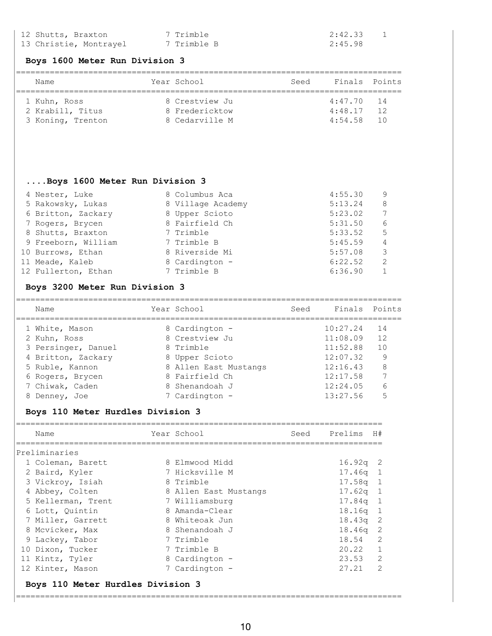| 12 Shutts, Braxton     | 7 Trimble   | 2:42.33 |
|------------------------|-------------|---------|
| 13 Christie, Montrayel | 7 Trimble B | 2:45.98 |

#### **Boys 1600 Meter Run Division 3**

| Name              | Year School    | Seed | Finals Points |                 |
|-------------------|----------------|------|---------------|-----------------|
|                   |                |      |               |                 |
| 1 Kuhn, Ross      | 8 Crestview Ju |      | $4:47.70$ 14  |                 |
| 2 Krabill, Titus  | 8 Fredericktow |      | 4:48.17       | 12              |
| 3 Koning, Trenton | 8 Cedarville M |      | 4:54.58       | $\overline{10}$ |

## **....Boys 1600 Meter Run Division 3**

| 4 Nester, Luke      | 8 Columbus Aca    | 4:55.30 | 9   |
|---------------------|-------------------|---------|-----|
| 5 Rakowsky, Lukas   | 8 Village Academy | 5:13.24 | -8  |
| 6 Britton, Zackary  | 8 Upper Scioto    | 5:23.02 | 7   |
| 7 Rogers, Brycen    | 8 Fairfield Ch    | 5:31.50 | 6   |
| 8 Shutts, Braxton   | 7 Trimble         | 5:33.52 | - 5 |
| 9 Freeborn, William | 7 Trimble B       | 5:45.59 | 4   |
| 10 Burrows, Ethan   | 8 Riverside Mi    | 5:57.08 | -3  |
| 11 Meade, Kaleb     | 8 Cardington -    | 6:22.52 | 2   |
| 12 Fullerton, Ethan | 7 Trimble B       | 6:36.90 | 1   |
|                     |                   |         |     |

## **Boys 3200 Meter Run Division 3**

| Name                | Year School           | Seed | Finals Points |    |
|---------------------|-----------------------|------|---------------|----|
| 1 White, Mason      | 8 Cardington -        |      | 10:27.24      | 14 |
| 2 Kuhn, Ross        | 8 Crestview Ju        |      | 11:08.09      | 12 |
| 3 Persinger, Danuel | 8 Trimble             |      | 11:52.88      | 10 |
| 4 Britton, Zackary  | 8 Upper Scioto        |      | 12:07.32      | 9  |
| 5 Ruble, Kannon     | 8 Allen East Mustangs |      | 12:16.43      | 8  |
| 6 Rogers, Brycen    | 8 Fairfield Ch        |      | 12:17.58      |    |
| 7 Chiwak, Caden     | 8 Shenandoah J        |      | 12:24.05      | 6  |
| Denney, Joe         | 7 Cardington -        |      | 13:27.56      | 5  |
|                     |                       |      |               |    |

## **Boys 110 Meter Hurdles Division 3**

| Name               | Year School           | Seed | Prelims    | H#            |
|--------------------|-----------------------|------|------------|---------------|
| Preliminaries      |                       |      |            |               |
| 1 Coleman, Barett  | 8 Elmwood Midd        |      | $16.92q$ 2 |               |
| 2 Baird, Kyler     | 7 Hicksville M        |      | $17.46q$ 1 |               |
| 3 Vickroy, Isiah   | 8 Trimble             |      | $17.58q$ 1 |               |
| 4 Abbey, Colten    | 8 Allen East Mustangs |      | $17.62q$ 1 |               |
| 5 Kellerman, Trent | 7 Williamsburg        |      | $17.84q$ 1 |               |
| 6 Lott, Quintin    | 8 Amanda-Clear        |      | $18.16q$ 1 |               |
| 7 Miller, Garrett  | 8 Whiteoak Jun        |      | $18.43q$ 2 |               |
| 8 Mcvicker, Max    | 8 Shenandoah J        |      | $18.46q$ 2 |               |
| 9 Lackey, Tabor    | 7 Trimble             |      | 18.54 2    |               |
| 10 Dixon, Tucker   | 7 Trimble B           |      | 20.22 1    |               |
| 11 Kintz, Tyler    | 8 Cardington -        |      | $23.53$ 2  |               |
| 12 Kinter, Mason   | 7 Cardington -        |      | 27.21      | $\mathcal{L}$ |
|                    |                       |      |            |               |

================================================================================

## **Boys 110 Meter Hurdles Division 3**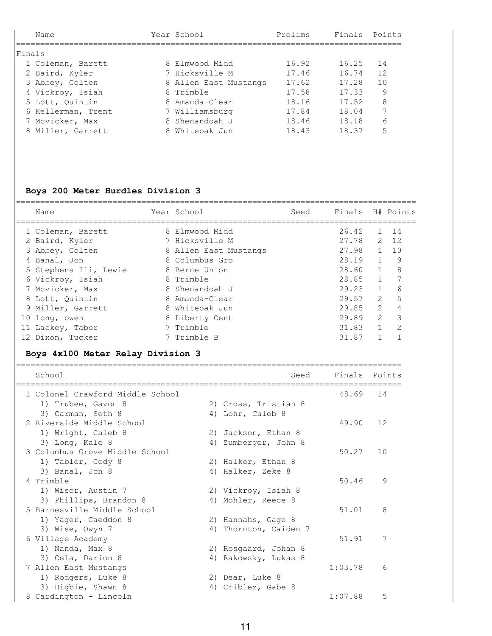| Name               |  | Year School           | Prelims | Finals Points |    |
|--------------------|--|-----------------------|---------|---------------|----|
| Finals             |  |                       |         |               |    |
| 1 Coleman, Barett  |  | 8 Elmwood Midd        | 16.92   | 16.25         | 14 |
| 2 Baird, Kyler     |  | 7 Hicksville M        | 17.46   | 16.74         | 12 |
| 3 Abbey, Colten    |  | 8 Allen East Mustangs | 17.62   | 17.28         | 10 |
| 4 Vickroy, Isiah   |  | 8 Trimble             | 17.58   | 17.33         | 9  |
| 5 Lott, Quintin    |  | 8 Amanda-Clear        | 18.16   | 17.52         | 8  |
| 6 Kellerman, Trent |  | 7 Williamsburg        | 17.84   | 18.04         | 7  |
| 7 Mcvicker, Max    |  | 8 Shenandoah J        | 18.46   | 18.18         | 6  |
| 8 Miller, Garrett  |  | 8 Whiteoak Jun        | 18.43   | 18.37         | 5  |

# **Boys 200 Meter Hurdles Division 3**

| Name                              | Year School    |                       | Seed | Finals                            |                   | H# Points      |
|-----------------------------------|----------------|-----------------------|------|-----------------------------------|-------------------|----------------|
| 1 Coleman, Barett                 | 8 Elmwood Midd |                       |      | 26.42                             | $\mathbf{1}$      | 14             |
| 2 Baird, Kyler                    | 7 Hicksville M |                       |      | 27.78                             | $\overline{2}$    | 12             |
| 3 Abbey, Colten                   |                | 8 Allen East Mustangs |      | 27.98                             | $\mathbf{1}$      | 10             |
| 4 Banal, Jon                      | 8 Columbus Gro |                       |      | 28.19                             | $\mathbf{1}$      | - 9            |
| 5 Stephens Iii, Lewie             | 8 Berne Union  |                       |      | 28.60                             | $\mathbf{1}$      | 8              |
| 6 Vickroy, Isiah                  | 8 Trimble      |                       |      | 28.85                             | $\mathbf{1}$      | 7              |
| 7 Mcvicker, Max                   | 8 Shenandoah J |                       |      | 29.23                             | $\mathbf{1}$      | 6              |
| 8 Lott, Quintin                   | 8 Amanda-Clear |                       |      | 29.57                             | $\overline{2}$    | 5              |
| 9 Miller, Garrett                 | 8 Whiteoak Jun |                       |      | 29.85                             | $\overline{2}$    | 4              |
| 10 long, owen                     | 8 Liberty Cent |                       |      | 29.89                             | $\overline{2}$    | 3              |
| 11 Lackey, Tabor                  | 7 Trimble      |                       |      | 31.83                             | $\mathbf{1}$      | $\overline{2}$ |
| 12 Dixon, Tucker                  | 7 Trimble B    |                       |      | 31.87                             | $\mathbf{1}$      | $\mathbf{1}$   |
| Boys 4x100 Meter Relay Division 3 |                |                       |      |                                   |                   |                |
| School                            |                |                       | Seed | Finals<br>======================= |                   | Points         |
| 1 Colonel Crawford Middle School  |                |                       |      | 48.69                             | 14                |                |
| 1) Trubee, Gavon 8                |                | 2) Cross, Tristian 8  |      |                                   |                   |                |
| 3) Carman, Seth 8                 |                | 4) Lohr, Caleb 8      |      |                                   |                   |                |
| 2 Riverside Middle School         |                |                       |      | 49.90                             | $12 \overline{ }$ |                |
| 1) Wright, Caleb 8                |                | 2) Jackson, Ethan 8   |      |                                   |                   |                |
| 3) Long, Kale 8                   |                | 4) Zumberger, John 8  |      |                                   |                   |                |
| 3 Columbus Grove Middle School    |                |                       |      | 50.27                             | 10                |                |
| 1) Tabler, Cody 8                 |                | 2) Halker, Ethan 8    |      |                                   |                   |                |
| 3) Banal, Jon 8                   |                | 4) Halker, Zeke 8     |      |                                   |                   |                |
| 4 Trimble                         |                |                       |      | 50.46                             |                   | 9              |
| 1) Wisor, Austin 7                |                | 2) Vickroy, Isiah 8   |      |                                   |                   |                |
| 3) Phillips, Brandon 8            |                | 4) Mohler, Reece 8    |      |                                   |                   |                |
| 5 Barnesville Middle School       |                |                       |      | 51.01                             |                   | 8              |
| 1) Yager, Caeddon 8               |                | 2) Hannahs, Gage 8    |      |                                   |                   |                |
| 3) Wise, Owyn 7                   |                | 4) Thornton, Caiden 7 |      |                                   |                   |                |
| 6 Village Academy                 |                |                       |      | 51.91                             |                   | 7              |
| 1) Nanda, Max 8                   |                | 2) Rosgaard, Johan 8  |      |                                   |                   |                |
| 3) Cela, Darion 8                 |                | 4) Rakowsky, Lukas 8  |      |                                   |                   |                |
| 7 Allen East Mustangs             |                |                       |      | 1:03.78                           |                   | 6              |
| 1) Rodgers, Luke 8                |                | 2) Dear, Luke 8       |      |                                   |                   |                |
| 3) Higbie, Shawn 8                |                | 4) Criblez, Gabe 8    |      |                                   |                   |                |
| 8 Cardington - Lincoln            |                |                       |      | 1:07.88                           |                   | 5              |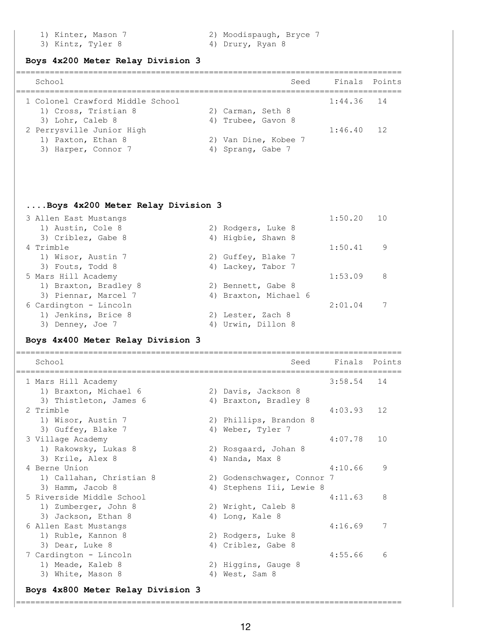- 3) Kintz, Tyler 8 4) Drury, Ryan 8
- 1) Kinter, Mason 7 2) Moodispaugh, Bryce 7
	-

#### **Boys 4x200 Meter Relay Division 3**

| School                           | Seed                 | Finals Points |  |
|----------------------------------|----------------------|---------------|--|
| 1 Colonel Crawford Middle School |                      | $1:44.36$ 14  |  |
| 1) Cross, Tristian 8             | 2) Carman, Seth 8    |               |  |
| 3) Lohr, Caleb 8                 | 4) Trubee, Gavon 8   |               |  |
| 2 Perrysville Junior High        |                      | $1:46.40$ 12  |  |
| 1) Paxton, Ethan 8               | 2) Van Dine, Kobee 7 |               |  |
| 3) Harper, Connor 7              | 4) Sprang, Gabe 7    |               |  |
|                                  |                      |               |  |

#### **....Boys 4x200 Meter Relay Division 3**

| 3 Allen East Mustangs  |                       | 1:50.20 | 10 |
|------------------------|-----------------------|---------|----|
| 1) Austin, Cole 8      | 2) Rodgers, Luke 8    |         |    |
| 3) Criblez, Gabe 8     | 4) Higbie, Shawn 8    |         |    |
| 4 Trimble              |                       | 1:50.41 | 9  |
| 1) Wisor, Austin 7     | 2) Guffey, Blake 7    |         |    |
| 3) Fouts, Todd 8       | 4) Lackey, Tabor 7    |         |    |
| 5 Mars Hill Academy    |                       | 1:53.09 | 8  |
| 1) Braxton, Bradley 8  | 2) Bennett, Gabe 8    |         |    |
| 3) Piennar, Marcel 7   | 4) Braxton, Michael 6 |         |    |
| 6 Cardington - Lincoln |                       | 2:01.04 |    |
| 1) Jenkins, Brice 8    | 2) Lester, Zach 8     |         |    |
| 3) Denney, Joe 7       | 4) Urwin, Dillon 8    |         |    |

## **Boys 4x400 Meter Relay Division 3**

| School                            |    | Seed                       | Finals Points |    |
|-----------------------------------|----|----------------------------|---------------|----|
| 1 Mars Hill Academy               |    |                            | 3:58.54       | 14 |
| 1) Braxton, Michael 6             |    | 2) Davis, Jackson 8        |               |    |
| 3) Thistleton, James 6            |    | 4) Braxton, Bradley 8      |               |    |
| 2 Trimble                         |    |                            | 4:03.93       | 12 |
| 1) Wisor, Austin 7                |    | 2) Phillips, Brandon 8     |               |    |
| 3) Guffey, Blake 7                | 4) | Weber, Tyler 7             |               |    |
| 3 Village Academy                 |    |                            | 4:07.78       | 10 |
| 1) Rakowsky, Lukas 8              |    | 2) Rosgaard, Johan 8       |               |    |
| 3) Krile, Alex 8                  |    | 4) Nanda, Max 8            |               |    |
| 4 Berne Union                     |    |                            | 4:10.66       | 9  |
| 1) Callahan, Christian 8          |    | 2) Godenschwager, Connor 7 |               |    |
| 3) Hamm, Jacob 8                  |    | 4) Stephens Iii, Lewie 8   |               |    |
| 5 Riverside Middle School         |    |                            | 4:11.63       | 8  |
| 1) Zumberger, John 8              |    | 2) Wright, Caleb 8         |               |    |
| 3) Jackson, Ethan 8               |    | 4) Long, Kale 8            |               |    |
| 6 Allen East Mustangs             |    |                            | 4:16.69       | 7  |
| 1) Ruble, Kannon 8                |    | 2) Rodgers, Luke 8         |               |    |
| 3) Dear, Luke 8                   |    | 4) Criblez, Gabe 8         |               |    |
| 7 Cardington - Lincoln            |    |                            | 4:55.66       | 6  |
| 1) Meade, Kaleb 8                 |    | 2) Higgins, Gauge 8        |               |    |
| 3) White, Mason 8                 | 4) | West, Sam 8                |               |    |
| Boys 4x800 Meter Relay Division 3 |    |                            |               |    |

#### ================================================================================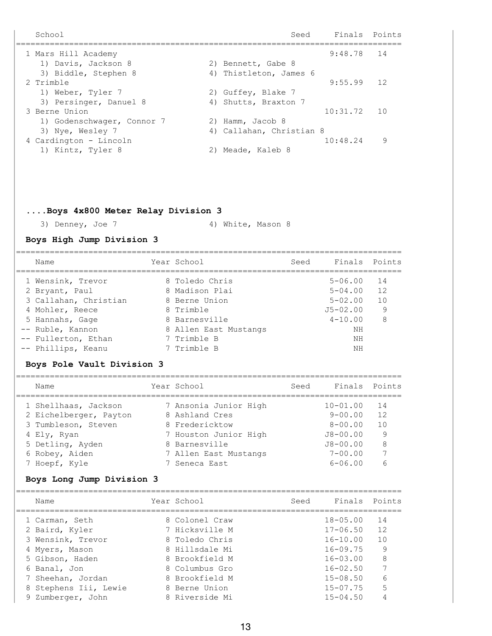School School School Seed Finals Points ================================================================================ 1 Mars Hill Academy 9:48.78 14 1) Davis, Jackson 8 2) Bennett, Gabe 8 3) Biddle, Stephen 8 4) Thistleton, James 6 2 Trimble 9:55.99 12 1) Weber, Tyler 7 2) Guffey, Blake 7 3) Persinger, Danuel 8 4) Shutts, Braxton 7 3 Berne Union 10:31.72 10 1) Godenschwager, Connor 7 2) Hamm, Jacob 8 3) Nye, Wesley 7 4) Callahan, Christian 8 4 Cardington - Lincoln 10:48.24 9 1) Kintz, Tyler 8 2) Meade, Kaleb 8 **....Boys 4x800 Meter Relay Division 3** 3) Denney, Joe 7 4) White, Mason 8 **Boys High Jump Division 3** ================================================================================ Name The Year School Seed Finals Points ================================================================================ 1 Wensink, Trevor 8 Toledo Chris 5-06.00 14

| 2 Bryant, Paul        | 8 Madison Plai        | $5 - 04.00$  | 12 |
|-----------------------|-----------------------|--------------|----|
| 3 Callahan, Christian | 8 Berne Union         | $5 - 02.00$  | 10 |
| 4 Mohler, Reece       | 8 Trimble             | $J5 - 02.00$ | 9  |
| 5 Hannahs, Gage       | 8 Barnesville         | $4 - 10.00$  |    |
| -- Ruble, Kannon      | 8 Allen East Mustangs | ΝH           |    |
| -- Fullerton, Ethan   | 7 Trimble B           | ΝH           |    |
| -- Phillips, Keanu    | 7 Trimble B           | ΝH           |    |

#### **Boys Pole Vault Division 3**

| Name                   | Year School           | Seed | Finals Points |    |
|------------------------|-----------------------|------|---------------|----|
| 1 Shellhaas, Jackson   | 7 Ansonia Junior High |      | $10 - 01.00$  | 14 |
| 2 Eichelberger, Payton | 8 Ashland Cres        |      | $9 - 00.00$   | 12 |
| 3 Tumbleson, Steven    | 8 Fredericktow        |      | $8 - 00.00$   | 10 |
| 4 Ely, Ryan            | 7 Houston Junior High |      | $J8 - 00.00$  | 9  |
| 5 Detling, Ayden       | 8 Barnesville         |      | $J8 - 00.00$  | 8  |
| 6 Robey, Aiden         | 7 Allen East Mustangs |      | $7 - 00.00$   | 7  |
| 7 Hoepf, Kyle          | 7 Seneca East         |      | $6 - 06.00$   | 6  |
|                        |                       |      |               |    |

#### **Boys Long Jump Division 3**

| Name                  | Year School    | Seed | Finals Points |    |
|-----------------------|----------------|------|---------------|----|
| 1 Carman, Seth        | 8 Colonel Craw |      | $18 - 05.00$  | 14 |
| 2 Baird, Kyler        | 7 Hicksville M |      | $17 - 06.50$  | 12 |
| 3 Wensink, Trevor     | 8 Toledo Chris |      | $16 - 10.00$  | 10 |
| 4 Myers, Mason        | 8 Hillsdale Mi |      | $16 - 09.75$  | 9  |
| 5 Gibson, Haden       | 8 Brookfield M |      | $16 - 03.00$  | 8  |
| 6 Banal, Jon          | 8 Columbus Gro |      | $16 - 02.50$  | 7  |
| 7 Sheehan, Jordan     | 8 Brookfield M |      | $15 - 08.50$  | 6  |
| 8 Stephens Iii, Lewie | 8 Berne Union  |      | $15 - 07.75$  | 5  |
| 9 Zumberger, John     | 8 Riverside Mi |      | $15 - 04.50$  |    |
|                       |                |      |               |    |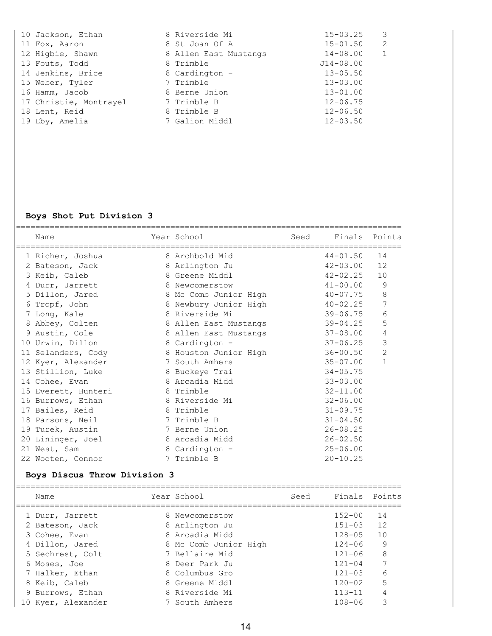| 10 Jackson, Ethan      | 8 Riverside Mi        | $\overline{\mathbf{3}}$<br>$15 - 03.25$ |
|------------------------|-----------------------|-----------------------------------------|
| 11 Fox, Aaron          | 8 St Joan Of A        | $\overline{2}$<br>$15 - 01.50$          |
| 12 Higbie, Shawn       | 8 Allen East Mustangs | $\mathbf{1}$<br>$14 - 08.00$            |
| 13 Fouts, Todd         | 8 Trimble             | $J14 - 08.00$                           |
| 14 Jenkins, Brice      | 8 Cardington -        | $13 - 05.50$                            |
| 15 Weber, Tyler        | 7 Trimble             | $13 - 03.00$                            |
| 16 Hamm, Jacob         | 8 Berne Union         | $13 - 01.00$                            |
| 17 Christie, Montrayel | 7 Trimble B           | $12 - 06.75$                            |
| 18 Lent, Reid          | 8 Trimble B           | $12 - 06.50$                            |
| 19 Eby, Amelia         | 7 Galion Middl        | $12 - 03.50$                            |

## **Boys Shot Put Division 3**

| Name                | Year School<br>------------------------- | Seed | Finals       | Points         |
|---------------------|------------------------------------------|------|--------------|----------------|
| 1 Richer, Joshua    | 8 Archbold Mid                           |      | $44 - 01.50$ | 14             |
| 2 Bateson, Jack     | 8 Arlington Ju                           |      | $42 - 03.00$ | 12             |
| 3 Keib, Caleb       | 8 Greene Middl                           |      | $42 - 02.25$ | 10             |
| 4 Durr, Jarrett     | 8 Newcomerstow                           |      | $41 - 00.00$ | 9              |
| 5 Dillon, Jared     | 8 Mc Comb Junior High                    |      | $40 - 07.75$ | 8              |
| 6 Tropf, John       | 8 Newbury Junior High                    |      | $40 - 02.25$ | 7              |
| 7 Long, Kale        | 8 Riverside Mi                           |      | $39 - 06.75$ | 6              |
| 8 Abbey, Colten     | 8 Allen East Mustangs                    |      | $39 - 04.25$ | 5              |
| 9 Austin, Cole      | 8 Allen East Mustangs                    |      | $37 - 08.00$ | 4              |
| 10 Urwin, Dillon    | 8 Cardington -                           |      | $37 - 06.25$ | 3              |
| 11 Selanders, Cody  | 8 Houston Junior High                    |      | $36 - 00.50$ | $\overline{2}$ |
| 12 Kyer, Alexander  | 7 South Amhers                           |      | $35 - 07.00$ | $\mathbf{1}$   |
| 13 Stillion, Luke   | 8 Buckeye Trai                           |      | $34 - 05.75$ |                |
| 14 Cohee, Evan      | 8 Arcadia Midd                           |      | $33 - 03.00$ |                |
| 15 Everett, Hunteri | 8 Trimble                                |      | $32 - 11.00$ |                |
| 16 Burrows, Ethan   | 8 Riverside Mi                           |      | $32 - 06.00$ |                |
| 17 Bailes, Reid     | 8 Trimble                                |      | $31 - 09.75$ |                |
| 18 Parsons, Neil    | 7 Trimble B                              |      | $31 - 04.50$ |                |
| 19 Turek, Austin    | 7 Berne Union                            |      | $26 - 08.25$ |                |
| 20 Lininger, Joel   | 8 Arcadia Midd                           |      | $26 - 02.50$ |                |
| 21 West, Sam        | 8 Cardington -                           |      | $25 - 06.00$ |                |
| 22 Wooten, Connor   | 7 Trimble B                              |      | $20 - 10.25$ |                |

# **Boys Discus Throw Division 3**

| Name               | Year School           | Seed | Finals Points |    |
|--------------------|-----------------------|------|---------------|----|
| 1 Durr, Jarrett    | 8 Newcomerstow        |      | $152 - 00$    | 14 |
| 2 Bateson, Jack    | 8 Arlington Ju        |      | $151 - 03$    | 12 |
| 3 Cohee, Evan      | 8 Arcadia Midd        |      | $128 - 05$    | 10 |
| 4 Dillon, Jared    | 8 Mc Comb Junior High |      | $124 - 06$    | 9  |
| 5 Sechrest, Colt   | 7 Bellaire Mid        |      | $121 - 06$    | 8  |
| 6 Moses, Joe       | 8 Deer Park Ju        |      | $121 - 04$    |    |
| 7 Halker, Ethan    | 8 Columbus Gro        |      | $121 - 03$    | 6  |
| 8 Keib, Caleb      | 8 Greene Middl        |      | $120 - 02$    | 5  |
| 9 Burrows, Ethan   | 8 Riverside Mi        |      | $113 - 11$    | 4  |
| 10 Kyer, Alexander | 7 South Amhers        |      | $108 - 06$    | ς  |